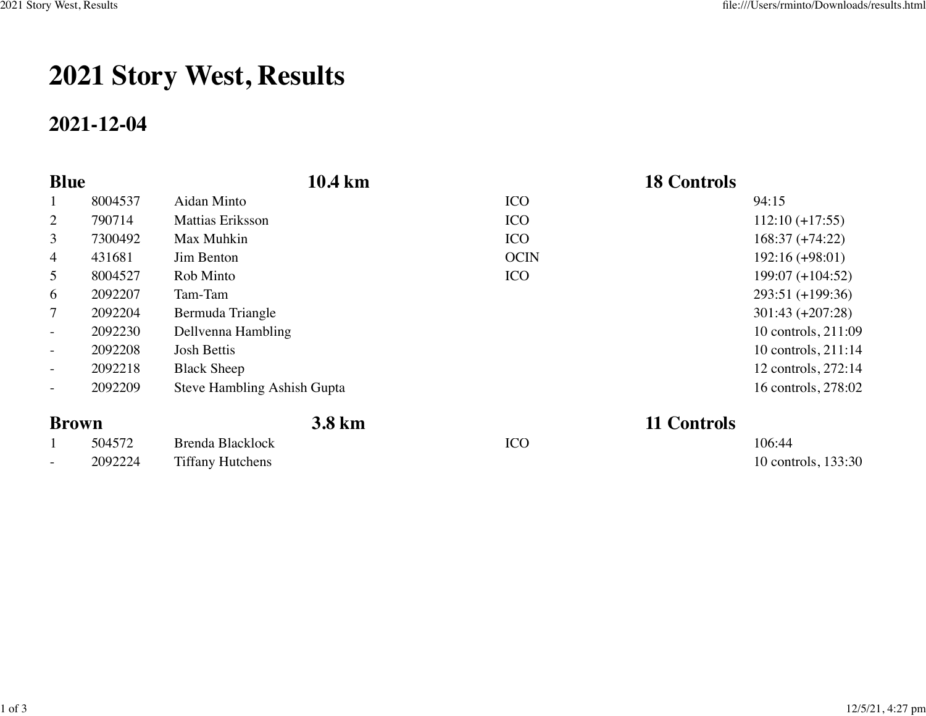## **2021 Story West, Results**

## **2021-12-04**

| <b>Blue</b>              |         | 10.4 km                     |             | <b>18 Controls</b>    |
|--------------------------|---------|-----------------------------|-------------|-----------------------|
| $\mathbf{1}$             | 8004537 | Aidan Minto                 | <b>ICO</b>  | 94:15                 |
| $\overline{2}$           | 790714  | <b>Mattias Eriksson</b>     | <b>ICO</b>  | $112:10 (+17:55)$     |
| 3                        | 7300492 | Max Muhkin                  | <b>ICO</b>  | $168:37 (+74:22)$     |
| $\overline{4}$           | 431681  | Jim Benton                  | <b>OCIN</b> | $192:16 (+98:01)$     |
| 5                        | 8004527 | Rob Minto                   | <b>ICO</b>  | $199:07 (+104:52)$    |
| 6                        | 2092207 | Tam-Tam                     |             | 293:51 (+199:36)      |
| 7                        | 2092204 | Bermuda Triangle            |             | $301:43 (+207:28)$    |
| $\blacksquare$           | 2092230 | Dellvenna Hambling          |             | 10 controls, 211:09   |
| $\blacksquare$           | 2092208 | <b>Josh Bettis</b>          |             | 10 controls, $211:14$ |
| $-$                      | 2092218 | <b>Black Sheep</b>          |             | 12 controls, 272:14   |
| $\overline{\phantom{a}}$ | 2092209 | Steve Hambling Ashish Gupta |             | 16 controls, 278:02   |
| <b>Brown</b>             |         | 3.8 km                      |             | 11 Controls           |

| DIVWII |         | J.O KIII                |            | 11 CONUOIS          |  |
|--------|---------|-------------------------|------------|---------------------|--|
|        | 504572  | Brenda Blacklock        | <b>ICO</b> | 106:44              |  |
| $\sim$ | 2092224 | <b>Tiffany Hutchens</b> |            | 10 controls, 133:30 |  |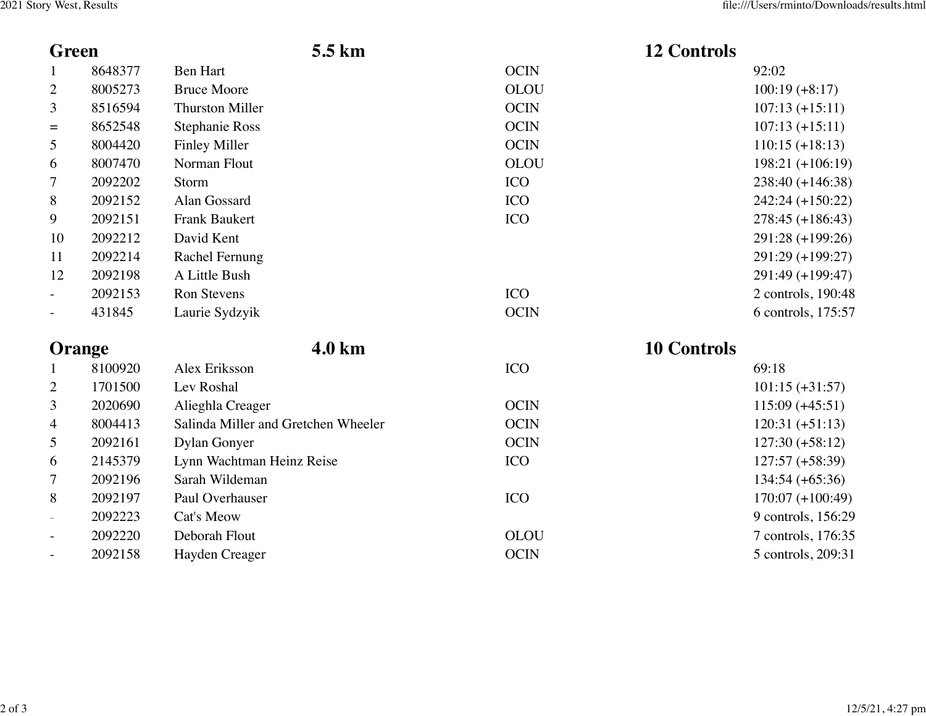| <b>Green</b>             |         | 5.5 km                              |             | <b>12 Controls</b> |
|--------------------------|---------|-------------------------------------|-------------|--------------------|
| $\mathbf{1}$             | 8648377 | <b>Ben Hart</b>                     | <b>OCIN</b> | 92:02              |
| $\overline{2}$           | 8005273 | <b>Bruce Moore</b>                  | <b>OLOU</b> | $100:19 (+8:17)$   |
| 3                        | 8516594 | <b>Thurston Miller</b>              | <b>OCIN</b> | $107:13 (+15:11)$  |
| $=$                      | 8652548 | <b>Stephanie Ross</b>               | <b>OCIN</b> | $107:13 (+15:11)$  |
| 5                        | 8004420 | <b>Finley Miller</b>                | <b>OCIN</b> | $110:15 (+18:13)$  |
| 6                        | 8007470 | Norman Flout                        | <b>OLOU</b> | $198:21 (+106:19)$ |
| 7                        | 2092202 | Storm                               | <b>ICO</b>  | $238:40 (+146:38)$ |
| 8                        | 2092152 | Alan Gossard                        | <b>ICO</b>  | $242:24 (+150:22)$ |
| 9                        | 2092151 | <b>Frank Baukert</b>                | <b>ICO</b>  | $278:45 (+186:43)$ |
| 10                       | 2092212 | David Kent                          |             | 291:28 (+199:26)   |
| 11                       | 2092214 | Rachel Fernung                      |             | 291:29 (+199:27)   |
| 12                       | 2092198 | A Little Bush                       |             | 291:49 (+199:47)   |
| $\overline{\phantom{a}}$ | 2092153 | <b>Ron Stevens</b>                  | <b>ICO</b>  | 2 controls, 190:48 |
| $\equiv$                 | 431845  | Laurie Sydzyik                      | <b>OCIN</b> | 6 controls, 175:57 |
| <b>Orange</b>            |         | 4.0 km                              |             | <b>10 Controls</b> |
| $\mathbf{1}$             | 8100920 | Alex Eriksson                       | <b>ICO</b>  | 69:18              |
| $\mathbf{2}$             | 1701500 | Lev Roshal                          |             | $101:15 (+31:57)$  |
| 3                        | 2020690 | Alieghla Creager                    | <b>OCIN</b> | $115:09 (+45:51)$  |
| 4                        | 8004413 | Salinda Miller and Gretchen Wheeler | <b>OCIN</b> | $120:31 (+51:13)$  |
| 5                        | 2092161 | <b>Dylan Gonyer</b>                 | <b>OCIN</b> | $127:30 (+58:12)$  |
| 6                        | 2145379 | Lynn Wachtman Heinz Reise           | <b>ICO</b>  | $127:57 (+58:39)$  |
| 7                        | 2092196 | Sarah Wildeman                      |             | $134:54 (+65:36)$  |
| 8                        | 2092197 | Paul Overhauser                     | <b>ICO</b>  | $170:07 (+100:49)$ |
| $\overline{\phantom{a}}$ | 2092223 | Cat's Meow                          |             | 9 controls, 156:29 |
|                          | 2092220 | Deborah Flout                       | <b>OLOU</b> | 7 controls, 176:35 |
|                          | 2092158 | Hayden Creager                      | <b>OCIN</b> | 5 controls, 209:31 |